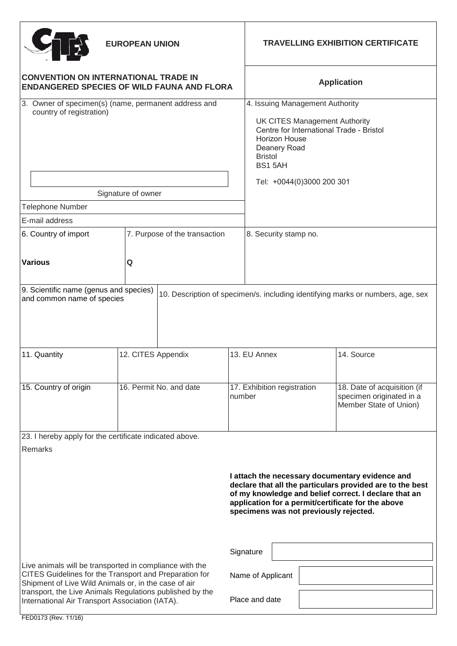| <b>EUROPEAN UNION</b>                                                                                                                                                     |                               |                                       | <b>TRAVELLING EXHIBITION CERTIFICATE</b>                                                                                                                                                                                                                              |                                                                                   |
|---------------------------------------------------------------------------------------------------------------------------------------------------------------------------|-------------------------------|---------------------------------------|-----------------------------------------------------------------------------------------------------------------------------------------------------------------------------------------------------------------------------------------------------------------------|-----------------------------------------------------------------------------------|
| <b>CONVENTION ON INTERNATIONAL TRADE IN</b><br><b>ENDANGERED SPECIES OF WILD FAUNA AND FLORA</b>                                                                          |                               |                                       | <b>Application</b>                                                                                                                                                                                                                                                    |                                                                                   |
| 3. Owner of specimen(s) (name, permanent address and<br>country of registration)<br>Signature of owner                                                                    |                               |                                       | 4. Issuing Management Authority<br><b>UK CITES Management Authority</b><br>Centre for International Trade - Bristol<br>Horizon House<br>Deanery Road<br><b>Bristol</b><br>BS1 5AH<br>Tel: +0044(0)3000 200 301                                                        |                                                                                   |
| Telephone Number                                                                                                                                                          |                               |                                       |                                                                                                                                                                                                                                                                       |                                                                                   |
| E-mail address                                                                                                                                                            |                               |                                       |                                                                                                                                                                                                                                                                       |                                                                                   |
| 6. Country of import                                                                                                                                                      | 7. Purpose of the transaction |                                       | 8. Security stamp no.                                                                                                                                                                                                                                                 |                                                                                   |
| <b>Various</b>                                                                                                                                                            | Q                             |                                       |                                                                                                                                                                                                                                                                       |                                                                                   |
| 9. Scientific name (genus and species)<br>and common name of species                                                                                                      |                               |                                       |                                                                                                                                                                                                                                                                       | 10. Description of specimen/s. including identifying marks or numbers, age, sex   |
| 11. Quantity                                                                                                                                                              | 12. CITES Appendix            |                                       | 13. EU Annex                                                                                                                                                                                                                                                          | 14. Source                                                                        |
| 15. Country of origin                                                                                                                                                     | 16. Permit No. and date       | 17. Exhibition registration<br>number |                                                                                                                                                                                                                                                                       | 18. Date of acquisition (if<br>specimen originated in a<br>Member State of Union) |
| 23. I hereby apply for the certificate indicated above.                                                                                                                   |                               |                                       |                                                                                                                                                                                                                                                                       |                                                                                   |
| Remarks                                                                                                                                                                   |                               |                                       |                                                                                                                                                                                                                                                                       |                                                                                   |
|                                                                                                                                                                           |                               |                                       | I attach the necessary documentary evidence and<br>declare that all the particulars provided are to the best<br>of my knowledge and belief correct. I declare that an<br>application for a permit/certificate for the above<br>specimens was not previously rejected. |                                                                                   |
|                                                                                                                                                                           |                               |                                       | Signature                                                                                                                                                                                                                                                             |                                                                                   |
| Live animals will be transported in compliance with the<br>CITES Guidelines for the Transport and Preparation for<br>Shipment of Live Wild Animals or, in the case of air |                               |                                       | Name of Applicant                                                                                                                                                                                                                                                     |                                                                                   |
| transport, the Live Animals Regulations published by the<br>International Air Transport Association (IATA).                                                               |                               |                                       | Place and date                                                                                                                                                                                                                                                        |                                                                                   |